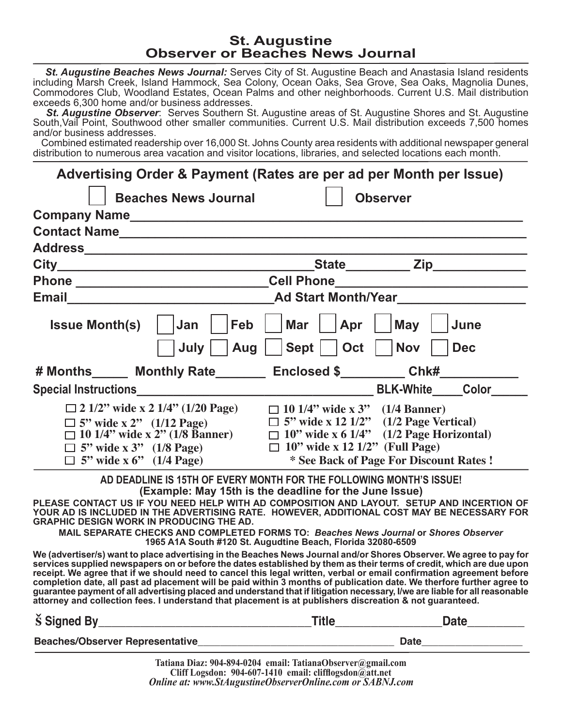## **St. Augustine Observer or Beaches News Journal**

 *St. Augustine Beaches News Journal:* Serves City of St. Augustine Beach and Anastasia Island residents including Marsh Creek, Island Hammock, Sea Colony, Ocean Oaks, Sea Grove, Sea Oaks, Magnolia Dunes, Commodores Club, Woodland Estates, Ocean Palms and other neighborhoods. Current U.S. Mail distribution exceeds 6,300 home and/or business addresses.

 *St. Augustine Observer*: Serves Southern St. Augustine areas of St. Augustine Shores and St. Augustine South,Vail Point, Southwood other smaller communities. Current U.S. Mail distribution exceeds 7,500 homes and/or business addresses.

 Combined estimated readership over 16,000 St. Johns County area residents with additional newspaper general distribution to numerous area vacation and visitor locations, libraries, and selected locations each month.

|                                                                                                                               |                                                                                                                                                                                            |                                                                                       | Advertising Order & Payment (Rates are per ad per Month per Issue)                                                                                                                                                                                                                                                                                                                                                                                                                                                                                                                                              |  |  |  |  |
|-------------------------------------------------------------------------------------------------------------------------------|--------------------------------------------------------------------------------------------------------------------------------------------------------------------------------------------|---------------------------------------------------------------------------------------|-----------------------------------------------------------------------------------------------------------------------------------------------------------------------------------------------------------------------------------------------------------------------------------------------------------------------------------------------------------------------------------------------------------------------------------------------------------------------------------------------------------------------------------------------------------------------------------------------------------------|--|--|--|--|
|                                                                                                                               | <b>Beaches News Journal</b>                                                                                                                                                                |                                                                                       | <b>Observer</b>                                                                                                                                                                                                                                                                                                                                                                                                                                                                                                                                                                                                 |  |  |  |  |
|                                                                                                                               |                                                                                                                                                                                            |                                                                                       |                                                                                                                                                                                                                                                                                                                                                                                                                                                                                                                                                                                                                 |  |  |  |  |
|                                                                                                                               |                                                                                                                                                                                            |                                                                                       |                                                                                                                                                                                                                                                                                                                                                                                                                                                                                                                                                                                                                 |  |  |  |  |
|                                                                                                                               |                                                                                                                                                                                            |                                                                                       |                                                                                                                                                                                                                                                                                                                                                                                                                                                                                                                                                                                                                 |  |  |  |  |
|                                                                                                                               | _State___________ Zip_____________                                                                                                                                                         |                                                                                       |                                                                                                                                                                                                                                                                                                                                                                                                                                                                                                                                                                                                                 |  |  |  |  |
|                                                                                                                               | Phone ________________________________Cell Phone________________________________                                                                                                           |                                                                                       |                                                                                                                                                                                                                                                                                                                                                                                                                                                                                                                                                                                                                 |  |  |  |  |
|                                                                                                                               | Email Ad Start Month/Year                                                                                                                                                                  |                                                                                       |                                                                                                                                                                                                                                                                                                                                                                                                                                                                                                                                                                                                                 |  |  |  |  |
| <b>Issue Month(s)</b>                                                                                                         | Feb<br>Jan                                                                                                                                                                                 | <b>Mar</b><br>$ $ Apr                                                                 | May<br>June                                                                                                                                                                                                                                                                                                                                                                                                                                                                                                                                                                                                     |  |  |  |  |
|                                                                                                                               | Aug<br>July                                                                                                                                                                                | $ \mathsf{Sept} $   Oct                                                               | <b>Nov</b><br><b>Dec</b>                                                                                                                                                                                                                                                                                                                                                                                                                                                                                                                                                                                        |  |  |  |  |
|                                                                                                                               | # Months______ Monthly Rate________ Enclosed \$_________ Chk#___                                                                                                                           |                                                                                       |                                                                                                                                                                                                                                                                                                                                                                                                                                                                                                                                                                                                                 |  |  |  |  |
|                                                                                                                               |                                                                                                                                                                                            |                                                                                       | BLK-White_____Color____                                                                                                                                                                                                                                                                                                                                                                                                                                                                                                                                                                                         |  |  |  |  |
| $\Box$ 5" wide x 2" (1/12 Page)                                                                                               | $\Box$ 2 1/2" wide x 2 1/4" (1/20 Page) $\Box$ 10 1/4" wide x 3" (1/4 Banner)<br>$\Box$ 10 1/4" wide x 2" (1/8 Banner)<br>$\Box$ 5" wide x 3" (1/8 Page)<br>$\Box$ 5" wide x 6" (1/4 Page) | $\Box$ 5" wide x 12 1/2" (1/2 Page Vertical)<br>$\Box$ 10" wide x 12 1/2" (Full Page) | $\Box$ 10" wide x 6 1/4" (1/2 Page Horizontal)<br>* See Back of Page For Discount Rates !                                                                                                                                                                                                                                                                                                                                                                                                                                                                                                                       |  |  |  |  |
| AD DEADLINE IS 15TH OF EVERY MONTH FOR THE FOLLOWING MONTH'S ISSUE!<br>(Example: May 15th is the deadline for the June Issue) |                                                                                                                                                                                            |                                                                                       |                                                                                                                                                                                                                                                                                                                                                                                                                                                                                                                                                                                                                 |  |  |  |  |
| <b>GRAPHIC DESIGN WORK IN PRODUCING THE AD.</b>                                                                               |                                                                                                                                                                                            |                                                                                       | PLEASE CONTACT US IF YOU NEED HELP WITH AD COMPOSITION AND LAYOUT. SETUP AND INCERTION OF<br>YOUR AD IS INCLUDED IN THE ADVERTISING RATE. HOWEVER, ADDITIONAL COST MAY BE NECESSARY FOR                                                                                                                                                                                                                                                                                                                                                                                                                         |  |  |  |  |
|                                                                                                                               | 1965 A1A South #120 St. Augudtine Beach, Florida 32080-6509                                                                                                                                |                                                                                       | MAIL SEPARATE CHECKS AND COMPLETED FORMS TO: Beaches News Journal or Shores Observer                                                                                                                                                                                                                                                                                                                                                                                                                                                                                                                            |  |  |  |  |
|                                                                                                                               | attorney and collection fees. I understand that placement is at publishers discreation & not guaranteed.                                                                                   |                                                                                       | We (advertiser/s) want to place advertising in the Beaches News Journal and/or Shores Observer. We agree to pay for<br>services supplied newspapers on or before the dates established by them as their terms of credit, which are due upon<br>receipt. We agree that if we should need to cancel this legal written, verbal or email confirmation agreement before<br>completion date, all past ad placement will be paid within 3 months of publication date. We therfore furt<br>guarantee payment of all advertising placed and understand that if litigation necessary, I/we are liable for all reasonable |  |  |  |  |
|                                                                                                                               |                                                                                                                                                                                            |                                                                                       |                                                                                                                                                                                                                                                                                                                                                                                                                                                                                                                                                                                                                 |  |  |  |  |
|                                                                                                                               |                                                                                                                                                                                            |                                                                                       |                                                                                                                                                                                                                                                                                                                                                                                                                                                                                                                                                                                                                 |  |  |  |  |
|                                                                                                                               |                                                                                                                                                                                            | Totiona Diaz. 004 804 0204 amail: Totiona Observer@gmail.com                          |                                                                                                                                                                                                                                                                                                                                                                                                                                                                                                                                                                                                                 |  |  |  |  |

*Online at: www.StAugustineObserverOnline.com or SABNJ.com* **Tatiana Diaz: 904-894-0204 email: TatianaObserver@gmail.com Cliff Logsdon: 904-607-1410 email: clifflogsdon@att.net**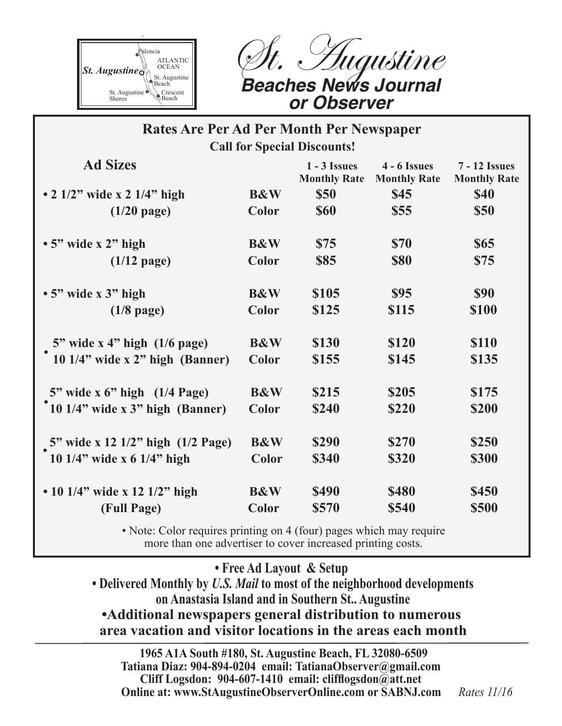

Hugustine *Beaches News Journal or Observer*

## **Rates Are Per Ad Per Month Per Newspaper Call for Special Discounts!**

| <b>Ad Sizes</b>                              |                | $1 - 3$ Issues<br><b>Monthly Rate</b> | $4 - 6$ Issues<br><b>Monthly Rate</b> | <b>7 - 12 Issues</b><br><b>Monthly Rate</b> |
|----------------------------------------------|----------------|---------------------------------------|---------------------------------------|---------------------------------------------|
| • 2 $1/2$ " wide x 2 $1/4$ " high            | <b>B&amp;W</b> | <b>\$50</b>                           | \$45                                  | <b>\$40</b>                                 |
| $(1/20$ page)                                | Color          | <b>\$60</b>                           | \$55                                  | <b>\$50</b>                                 |
| $\cdot$ 5" wide x 2" high                    | <b>B&amp;W</b> | \$75                                  | <b>\$70</b>                           | <b>\$65</b>                                 |
| $(1/12$ page)                                | Color          | <b>\$85</b>                           | <b>\$80</b>                           | \$75                                        |
| $\cdot$ 5" wide x 3" high                    | <b>B&amp;W</b> | \$105                                 | \$95                                  | <b>\$90</b>                                 |
| $(1/8$ page)                                 | Color          | \$125                                 | \$115                                 | \$100                                       |
| 5" wide x 4" high $(1/6$ page)               | <b>B&amp;W</b> | \$130                                 | \$120                                 | <b>\$110</b>                                |
| 10 1/4" wide x 2" high (Banner)              | <b>Color</b>   | \$155                                 | \$145                                 | \$135                                       |
| $5"$ wide x 6" high $(1/4 \text{ Page})$     | <b>B&amp;W</b> | \$215                                 | \$205                                 | \$175                                       |
| <sup>*</sup> 10 1/4" wide x 3" high (Banner) | <b>Color</b>   | \$240                                 | \$220                                 | \$200                                       |
| 5" wide x 12 1/2" high (1/2 Page)            | <b>B&amp;W</b> | \$290                                 | \$270                                 | \$250                                       |
| 10 1/4" wide x 6 1/4" high                   | <b>Color</b>   | \$340                                 | \$320                                 | <b>\$300</b>                                |
| • 10 1/4" wide x 12 1/2" high                | <b>B&amp;W</b> | <b>\$490</b>                          | <b>\$480</b>                          | <b>\$450</b>                                |
| (Full Page)                                  | Color          | \$570                                 | \$540                                 | \$500                                       |

• Note: Color requires printing on 4 (four) pages which may require more than one advertiser to cover increased printing costs.

**• Free Ad Layout & Setup**

 **• Delivered Monthly by** *U.S. Mail* **to most of the neighborhood developments on Anastasia Island and in Southern St.. Augustine •Additional newspapers general distribution to numerous area vacation and visitor locations in the areas each month**

 **1965 A1A South #180, St. Augustine Beach, FL 32080-6509 Tatiana Diaz: 904-894-0204 email: TatianaObserver@gmail.com Cliff Logsdon: 904-607-1410 email: clifflogsdon@att.net Online at: www.StAugustineObserverOnline.com or SABNJ.com** *Rates 11/16*